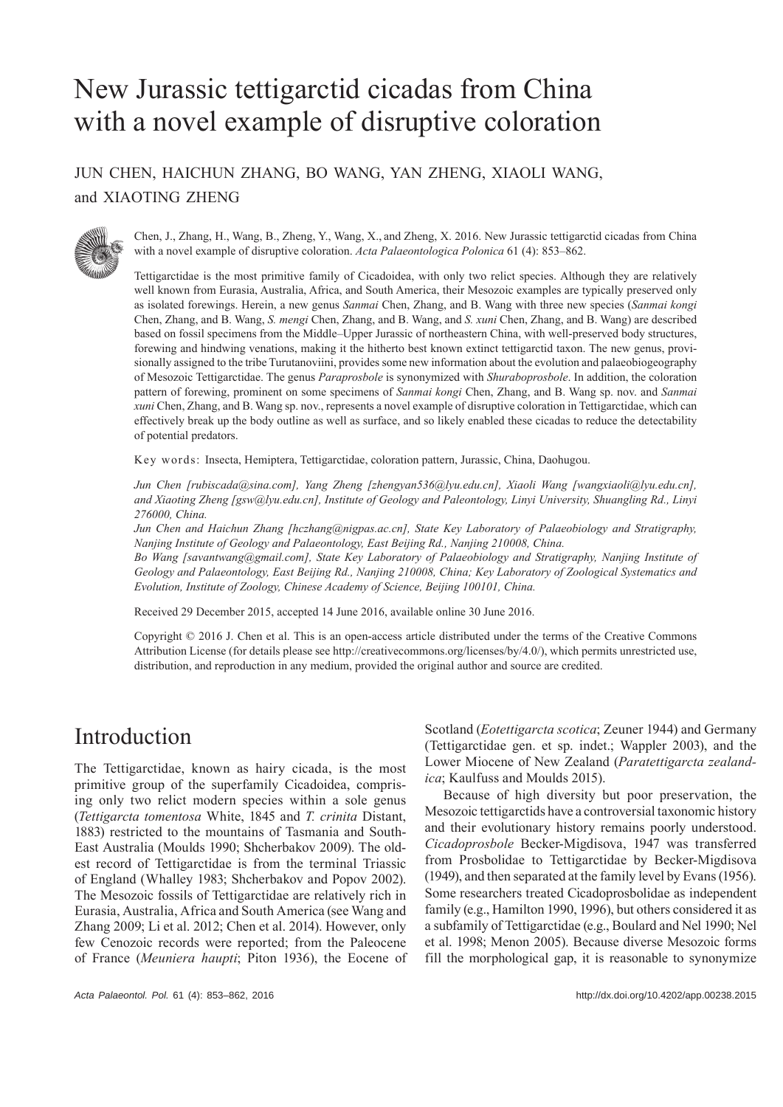# New Jurassic tettigarctid cicadas from China with a novel example of disruptive coloration

JUN CHEN, HAICHUN ZHANG, BO WANG, YAN ZHENG, XIAOLI WANG, and XIAOTING ZHENG



Chen, J., Zhang, H., Wang, B., Zheng, Y., Wang, X., and Zheng, X. 2016. New Jurassic tettigarctid cicadas from China with a novel example of disruptive coloration. *Acta Palaeontologica Polonica* 61 (4): 853–862.

Tettigarctidae is the most primitive family of Cicadoidea, with only two relict species. Although they are relatively well known from Eurasia, Australia, Africa, and South America, their Mesozoic examples are typically preserved only as isolated forewings. Herein, a new genus *Sanmai* Chen, Zhang, and B. Wang with three new species (*Sanmai kongi* Chen, Zhang, and B. Wang, *S. mengi* Chen, Zhang, and B. Wang, and *S. xuni* Chen, Zhang, and B. Wang) are described based on fossil specimens from the Middle–Upper Jurassic of northeastern China, with well-preserved body structures, forewing and hindwing venations, making it the hitherto best known extinct tettigarctid taxon. The new genus, provisionally assigned to the tribe Turutanoviini, provides some new information about the evolution and palaeobiogeography of Mesozoic Tettigarctidae. The genus *Paraprosbole* is synonymized with *Shuraboprosbole*. In addition, the coloration pattern of forewing, prominent on some specimens of *Sanmai kongi* Chen, Zhang, and B. Wang sp. nov. and *Sanmai xuni* Chen, Zhang, and B. Wang sp. nov., represents a novel example of disruptive coloration in Tettigarctidae, which can effectively break up the body outline as well as surface, and so likely enabled these cicadas to reduce the detectability of potential predators.

Key words: Insecta, Hemiptera, Tettigarctidae, coloration pattern, Jurassic, China, Daohugou.

*Jun Chen [rubiscada@sina.com], Yang Zheng [zhengyan536@lyu.edu.cn], Xiaoli Wang [wangxiaoli@lyu.edu.cn], and Xiaoting Zheng [gsw@lyu.edu.cn], Institute of Geology and Paleontology, Linyi University, Shuangling Rd., Linyi 276000, China.*

*Jun Chen and Haichun Zhang [hczhang@nigpas.ac.cn], State Key Laboratory of Palaeobiology and Stratigraphy, Nanjing Institute of Geology and Palaeontology, East Beijing Rd., Nanjing 210008, China.*

*Bo Wang [savantwang@gmail.com], State Key Laboratory of Palaeobiology and Stratigraphy, Nanjing Institute of Geology and Palaeontology, East Beijing Rd., Nanjing 210008, China; Key Laboratory of Zoological Systematics and Evolution, Institute of Zoology, Chinese Academy of Science, Beijing 100101, China.*

Received 29 December 2015, accepted 14 June 2016, available online 30 June 2016.

Copyright © 2016 J. Chen et al. This is an open-access article distributed under the terms of the Creative Commons Attribution License (for details please see http://creativecommons.org/licenses/by/4.0/), which permits unrestricted use, distribution, and reproduction in any medium, provided the original author and source are credited.

## Introduction

The Tettigarctidae, known as hairy cicada, is the most primitive group of the superfamily Cicadoidea, comprising only two relict modern species within a sole genus (*Tettigarcta tomentosa* White, 1845 and *T. crinita* Distant, 1883) restricted to the mountains of Tasmania and South-East Australia (Moulds 1990; Shcherbakov 2009). The oldest record of Tettigarctidae is from the terminal Triassic of England (Whalley 1983; Shcherbakov and Popov 2002). The Mesozoic fossils of Tettigarctidae are relatively rich in Eurasia, Australia, Africa and South America (see Wang and Zhang 2009; Li et al. 2012; Chen et al. 2014). However, only few Cenozoic records were reported; from the Paleocene of France (*Meuniera haupti*; Piton 1936), the Eocene of Scotland (*Eotettigarcta scotica*; Zeuner 1944) and Germany (Tettigarctidae gen. et sp. indet.; Wappler 2003), and the Lower Miocene of New Zealand (*Paratettigarcta zealandica*; Kaulfuss and Moulds 2015).

Because of high diversity but poor preservation, the Mesozoic tettigarctids have a controversial taxonomic history and their evolutionary history remains poorly understood. *Cicadoprosbole* Becker-Migdisova, 1947 was transferred from Prosbolidae to Tettigarctidae by Becker-Migdisova (1949), and then separated at the family level by Evans (1956). Some researchers treated Cicadoprosbolidae as independent family (e.g., Hamilton 1990, 1996), but others considered it as a subfamily of Tettigarctidae (e.g., Boulard and Nel 1990; Nel et al. 1998; Menon 2005). Because diverse Mesozoic forms fill the morphological gap, it is reasonable to synonymize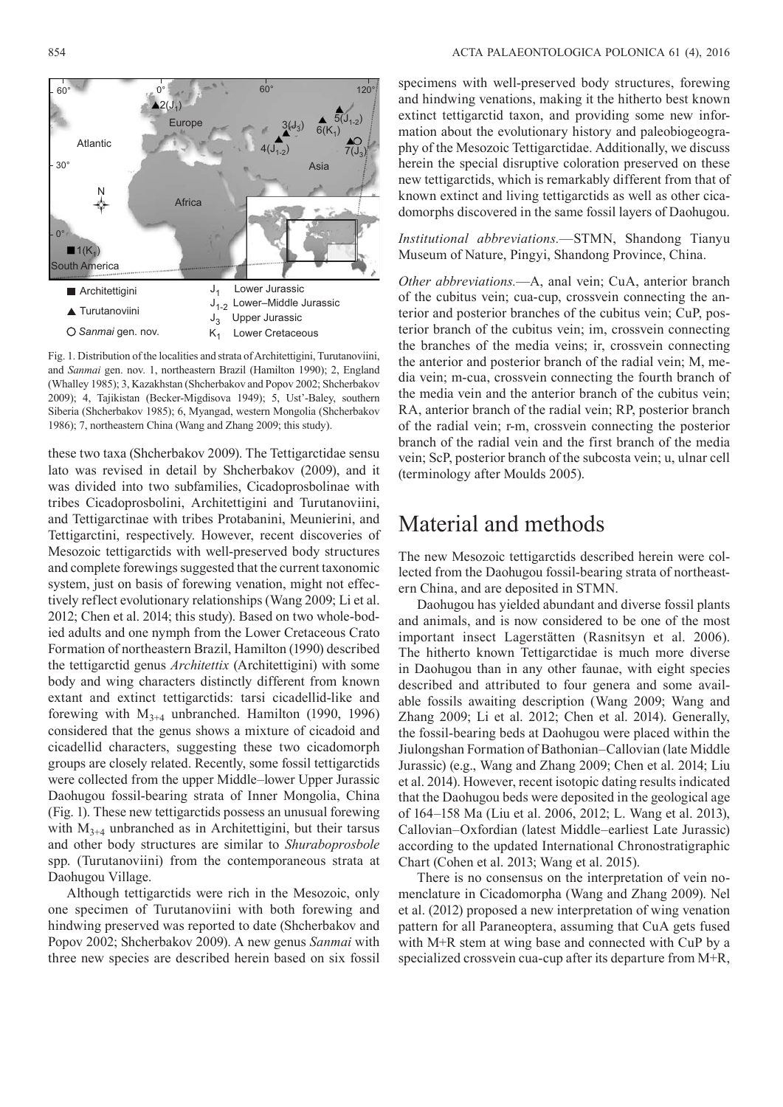

Fig. 1. Distribution of the localities and strata of Architettigini, Turutanoviini, and *Sanmai* gen. nov. 1, northeastern Brazil (Hamilton 1990); 2, England (Whalley 1985); 3, Kazakhstan (Shcherbakov and Popov 2002; Shcherbakov 2009); 4, Tajikistan (Becker-Migdisova 1949); 5, Ust'-Baley, southern Siberia (Shcherbakov 1985); 6, Myangad, western Mongolia (Shcherbakov 1986); 7, northeastern China (Wang and Zhang 2009; this study).

these two taxa (Shcherbakov 2009). The Tettigarctidae sensu lato was revised in detail by Shcherbakov (2009), and it was divided into two subfamilies, Cicadoprosbolinae with tribes Cicadoprosbolini, Architettigini and Turutanoviini, and Tettigarctinae with tribes Protabanini, Meunierini, and Tettigarctini, respectively. However, recent discoveries of Mesozoic tettigarctids with well-preserved body structures and complete forewings suggested that the current taxonomic system, just on basis of forewing venation, might not effectively reflect evolutionary relationships (Wang 2009; Li et al. 2012; Chen et al. 2014; this study). Based on two whole-bodied adults and one nymph from the Lower Cretaceous Crato Formation of northeastern Brazil, Hamilton (1990) described the tettigarctid genus *Architettix* (Architettigini) with some body and wing characters distinctly different from known extant and extinct tettigarctids: tarsi cicadellid-like and forewing with  $M_{3+4}$  unbranched. Hamilton (1990, 1996) considered that the genus shows a mixture of cicadoid and cicadellid characters, suggesting these two cicadomorph groups are closely related. Recently, some fossil tettigarctids were collected from the upper Middle–lower Upper Jurassic Daohugou fossil-bearing strata of Inner Mongolia, China (Fig. 1). These new tettigarctids possess an unusual forewing with  $M_{3+4}$  unbranched as in Architettigini, but their tarsus and other body structures are similar to *Shuraboprosbole*  spp. (Turutanoviini) from the contemporaneous strata at Daohugou Village.

Although tettigarctids were rich in the Mesozoic, only one specimen of Turutanoviini with both forewing and hindwing preserved was reported to date (Shcherbakov and Popov 2002; Shcherbakov 2009). A new genus *Sanmai* with three new species are described herein based on six fossil

specimens with well-preserved body structures, forewing and hindwing venations, making it the hitherto best known extinct tettigarctid taxon, and providing some new information about the evolutionary history and paleobiogeography of the Mesozoic Tettigarctidae. Additionally, we discuss herein the special disruptive coloration preserved on these new tettigarctids, which is remarkably different from that of known extinct and living tettigarctids as well as other cicadomorphs discovered in the same fossil layers of Daohugou.

*Institutional abbreviations.*—STMN, Shandong Tianyu Museum of Nature, Pingyi, Shandong Province, China.

*Other abbreviations.*—A, anal vein; CuA, anterior branch of the cubitus vein; cua-cup, crossvein connecting the anterior and posterior branches of the cubitus vein; CuP, posterior branch of the cubitus vein; im, crossvein connecting the branches of the media veins; ir, crossvein connecting the anterior and posterior branch of the radial vein; M, media vein; m-cua, crossvein connecting the fourth branch of the media vein and the anterior branch of the cubitus vein; RA, anterior branch of the radial vein; RP, posterior branch of the radial vein; r-m, crossvein connecting the posterior branch of the radial vein and the first branch of the media vein; ScP, posterior branch of the subcosta vein; u, ulnar cell (terminology after Moulds 2005).

## Material and methods

The new Mesozoic tettigarctids described herein were collected from the Daohugou fossil-bearing strata of northeastern China, and are deposited in STMN.

Daohugou has yielded abundant and diverse fossil plants and animals, and is now considered to be one of the most important insect Lagerstätten (Rasnitsyn et al. 2006). The hitherto known Tettigarctidae is much more diverse in Daohugou than in any other faunae, with eight species described and attributed to four genera and some available fossils awaiting description (Wang 2009; Wang and Zhang 2009; Li et al. 2012; Chen et al. 2014). Generally, the fossil-bearing beds at Daohugou were placed within the Jiulongshan Formation of Bathonian–Callovian (late Middle Jurassic) (e.g., Wang and Zhang 2009; Chen et al. 2014; Liu et al. 2014). However, recent isotopic dating results indicated that the Daohugou beds were deposited in the geological age of 164–158 Ma (Liu et al. 2006, 2012; L. Wang et al. 2013), Callovian–Oxfordian (latest Middle–earliest Late Jurassic) according to the updated International Chronostratigraphic Chart (Cohen et al. 2013; Wang et al. 2015).

There is no consensus on the interpretation of vein nomenclature in Cicadomorpha (Wang and Zhang 2009). Nel et al. (2012) proposed a new interpretation of wing venation pattern for all Paraneoptera, assuming that CuA gets fused with M+R stem at wing base and connected with CuP by a specialized crossvein cua-cup after its departure from M+R,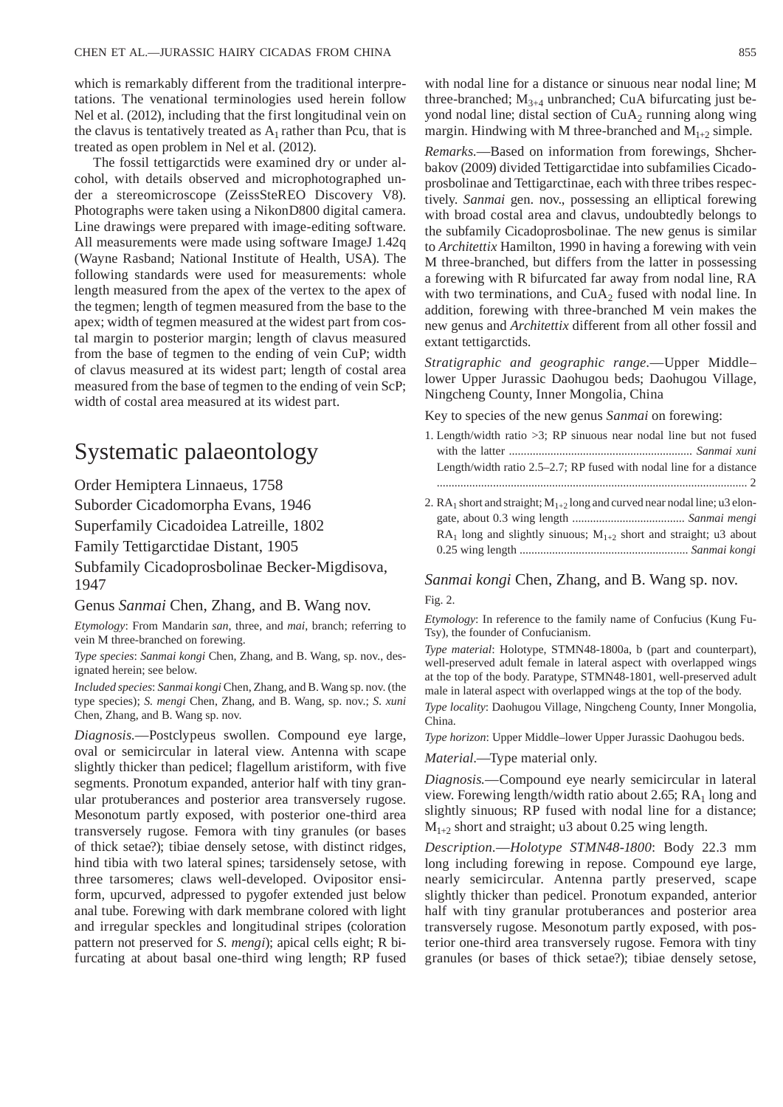which is remarkably different from the traditional interpretations. The venational terminologies used herein follow Nel et al. (2012), including that the first longitudinal vein on the clavus is tentatively treated as  $A_1$  rather than Pcu, that is treated as open problem in Nel et al. (2012).

The fossil tettigarctids were examined dry or under alcohol, with details observed and microphotographed under a stereomicroscope (ZeissSteREO Discovery V8). Photographs were taken using a NikonD800 digital camera. Line drawings were prepared with image-editing software. All measurements were made using software ImageJ 1.42q (Wayne Rasband; National Institute of Health, USA). The following standards were used for measurements: whole length measured from the apex of the vertex to the apex of the tegmen; length of tegmen measured from the base to the apex; width of tegmen measured at the widest part from costal margin to posterior margin; length of clavus measured from the base of tegmen to the ending of vein CuP; width of clavus measured at its widest part; length of costal area measured from the base of tegmen to the ending of vein ScP; width of costal area measured at its widest part.

#### Systematic palaeontology

Order Hemiptera Linnaeus, 1758

Suborder Cicadomorpha Evans, 1946

Superfamily Cicadoidea Latreille, 1802

Family Tettigarctidae Distant, 1905

Subfamily Cicadoprosbolinae Becker-Migdisova, 1947

Genus *Sanmai* Chen, Zhang, and B. Wang nov.

*Etymology*: From Mandarin *san*, three, and *mai*, branch; referring to vein M three-branched on forewing.

*Type species*: *Sanmai kongi* Chen, Zhang, and B. Wang, sp. nov., designated herein; see below.

*Included species*: *Sanmai kongi* Chen, Zhang, and B. Wang sp. nov. (the type species); *S. mengi* Chen, Zhang, and B. Wang, sp. nov.; *S. xuni*  Chen, Zhang, and B. Wang sp. nov.

*Diagnosis.*—Postclypeus swollen. Compound eye large, oval or semicircular in lateral view. Antenna with scape slightly thicker than pedicel; flagellum aristiform, with five segments. Pronotum expanded, anterior half with tiny granular protuberances and posterior area transversely rugose. Mesonotum partly exposed, with posterior one-third area transversely rugose. Femora with tiny granules (or bases of thick setae?); tibiae densely setose, with distinct ridges, hind tibia with two lateral spines; tarsidensely setose, with three tarsomeres; claws well-developed. Ovipositor ensiform, upcurved, adpressed to pygofer extended just below anal tube. Forewing with dark membrane colored with light and irregular speckles and longitudinal stripes (coloration pattern not preserved for *S. mengi*); apical cells eight; R bifurcating at about basal one-third wing length; RP fused with nodal line for a distance or sinuous near nodal line; M three-branched;  $M_{3+4}$  unbranched; CuA bifurcating just beyond nodal line; distal section of  $CuA<sub>2</sub>$  running along wing margin. Hindwing with M three-branched and  $M_{1+2}$  simple.

*Remarks.*—Based on information from forewings, Shcherbakov (2009) divided Tettigarctidae into subfamilies Cicadoprosbolinae and Tettigarctinae, each with three tribes respectively. *Sanmai* gen. nov., possessing an elliptical forewing with broad costal area and clavus, undoubtedly belongs to the subfamily Cicadoprosbolinae. The new genus is similar to *Architettix* Hamilton, 1990 in having a forewing with vein M three-branched, but differs from the latter in possessing a forewing with R bifurcated far away from nodal line, RA with two terminations, and  $CuA<sub>2</sub>$  fused with nodal line. In addition, forewing with three-branched M vein makes the new genus and *Architettix* different from all other fossil and extant tettigarctids.

*Stratigraphic and geographic range.*—Upper Middle– lower Upper Jurassic Daohugou beds; Daohugou Village, Ningcheng County, Inner Mongolia, China

Key to species of the new genus *Sanmai* on forewing:

1. Length/width ratio >3; RP sinuous near nodal line but not fused with the latter .............................................................. *Sanmai xuni* Length/width ratio 2.5–2.7; RP fused with nodal line for a distance ......................................................................................................... 2 2.  $RA_1$  short and straight;  $M_{1+2}$  long and curved near nodal line; u3 elongate, about 0.3 wing length ...................................... *Sanmai mengi* RA<sub>1</sub> long and slightly sinuous;  $M_{1+2}$  short and straight; u3 about

0.25 wing length ......................................................... *Sanmai kongi*

*Sanmai kongi* Chen, Zhang, and B. Wang sp. nov. Fig. 2.

*Etymology*: In reference to the family name of Confucius (Kung Fu-Tsy), the founder of Confucianism.

*Type material*: Holotype, STMN48-1800a, b (part and counterpart), well-preserved adult female in lateral aspect with overlapped wings at the top of the body. Paratype, STMN48-1801, well-preserved adult male in lateral aspect with overlapped wings at the top of the body.

*Type locality*: Daohugou Village, Ningcheng County, Inner Mongolia, China.

*Type horizon*: Upper Middle–lower Upper Jurassic Daohugou beds.

*Material*.—Type material only.

*Diagnosis.*—Compound eye nearly semicircular in lateral view. Forewing length/width ratio about 2.65;  $RA_1$  long and slightly sinuous; RP fused with nodal line for a distance;  $M<sub>1+2</sub>$  short and straight; u3 about 0.25 wing length.

*Description.*—*Holotype STMN48-1800*: Body 22.3 mm long including forewing in repose. Compound eye large, nearly semicircular. Antenna partly preserved, scape slightly thicker than pedicel. Pronotum expanded, anterior half with tiny granular protuberances and posterior area transversely rugose. Mesonotum partly exposed, with posterior one-third area transversely rugose. Femora with tiny granules (or bases of thick setae?); tibiae densely setose,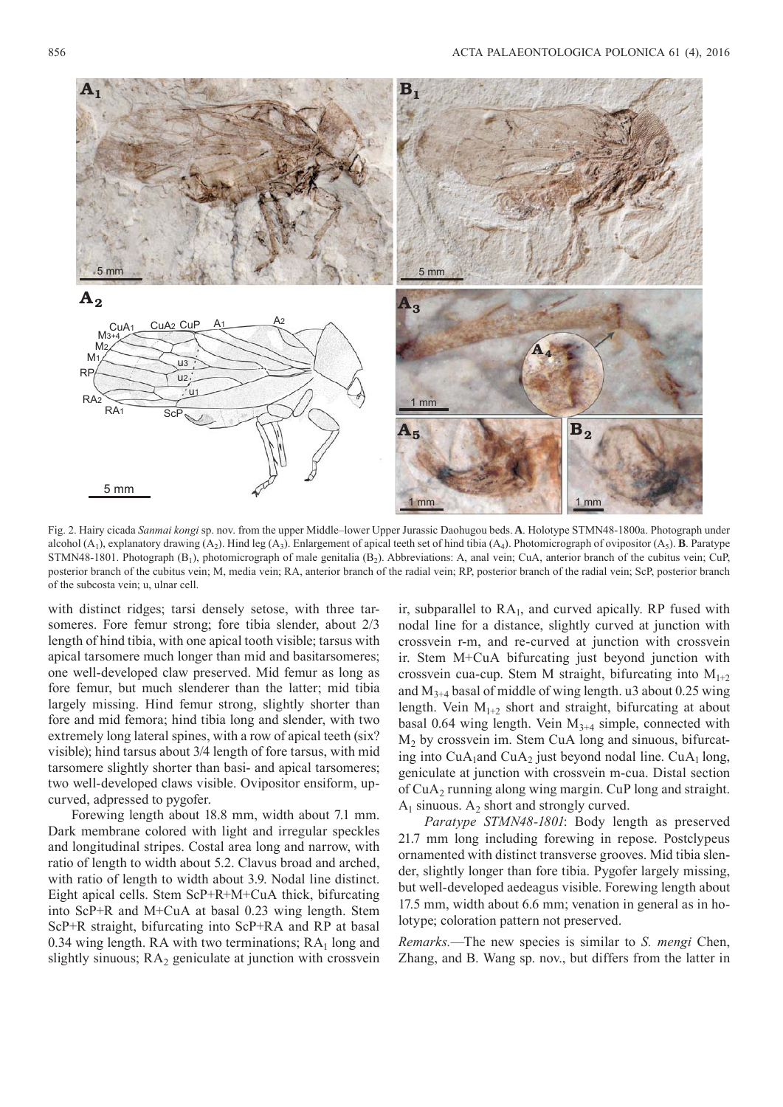

Fig. 2. Hairy cicada *Sanmai kongi* sp. nov. from the upper Middle–lower Upper Jurassic Daohugou beds. **A**. Holotype STMN48-1800a. Photograph under alcohol  $(A_1)$ , explanatory drawing  $(A_2)$ . Hind leg  $(A_3)$ . Enlargement of apical teeth set of hind tibia  $(A_4)$ . Photomicrograph of ovipositor  $(A_5)$ . **B**. Paratype STMN48-1801. Photograph  $(B_1)$ , photomicrograph of male genitalia  $(B_2)$ . Abbreviations: A, anal vein; CuA, anterior branch of the cubitus vein; CuP, posterior branch of the cubitus vein; M, media vein; RA, anterior branch of the radial vein; RP, posterior branch of the radial vein; ScP, posterior branch of the subcosta vein; u, ulnar cell.

with distinct ridges; tarsi densely setose, with three tarsomeres. Fore femur strong; fore tibia slender, about 2/3 length of hind tibia, with one apical tooth visible; tarsus with apical tarsomere much longer than mid and basitarsomeres; one well-developed claw preserved. Mid femur as long as fore femur, but much slenderer than the latter; mid tibia largely missing. Hind femur strong, slightly shorter than fore and mid femora; hind tibia long and slender, with two extremely long lateral spines, with a row of apical teeth (six? visible); hind tarsus about 3/4 length of fore tarsus, with mid tarsomere slightly shorter than basi- and apical tarsomeres; two well-developed claws visible. Ovipositor ensiform, upcurved, adpressed to pygofer.

 Forewing length about 18.8 mm, width about 7.1 mm. Dark membrane colored with light and irregular speckles and longitudinal stripes. Costal area long and narrow, with ratio of length to width about 5.2. Clavus broad and arched, with ratio of length to width about 3.9. Nodal line distinct. Eight apical cells. Stem ScP+R+M+CuA thick, bifurcating into ScP+R and M+CuA at basal 0.23 wing length. Stem ScP+R straight, bifurcating into ScP+RA and RP at basal 0.34 wing length. RA with two terminations;  $RA<sub>1</sub>$  long and slightly sinuous;  $RA<sub>2</sub>$  geniculate at junction with crossvein

ir, subparallel to  $RA<sub>1</sub>$ , and curved apically. RP fused with nodal line for a distance, slightly curved at junction with crossvein r-m, and re-curved at junction with crossvein ir. Stem M+CuA bifurcating just beyond junction with crossvein cua-cup. Stem M straight, bifurcating into  $M_{1+2}$ and  $M_{3+4}$  basal of middle of wing length. u3 about 0.25 wing length. Vein  $M_{1+2}$  short and straight, bifurcating at about basal 0.64 wing length. Vein  $M_{3+4}$  simple, connected with M2 by crossvein im. Stem CuA long and sinuous, bifurcating into  $CuA_1$ and  $CuA_2$  just beyond nodal line.  $CuA_1$  long, geniculate at junction with crossvein m-cua. Distal section of CuA2 running along wing margin. CuP long and straight.  $A_1$  sinuous.  $A_2$  short and strongly curved.

*Paratype STMN48-1801*: Body length as preserved 21.7 mm long including forewing in repose. Postclypeus ornamented with distinct transverse grooves. Mid tibia slender, slightly longer than fore tibia. Pygofer largely missing, but well-developed aedeagus visible. Forewing length about 17.5 mm, width about 6.6 mm; venation in general as in holotype; coloration pattern not preserved.

*Remarks.*—The new species is similar to *S. mengi* Chen, Zhang, and B. Wang sp. nov., but differs from the latter in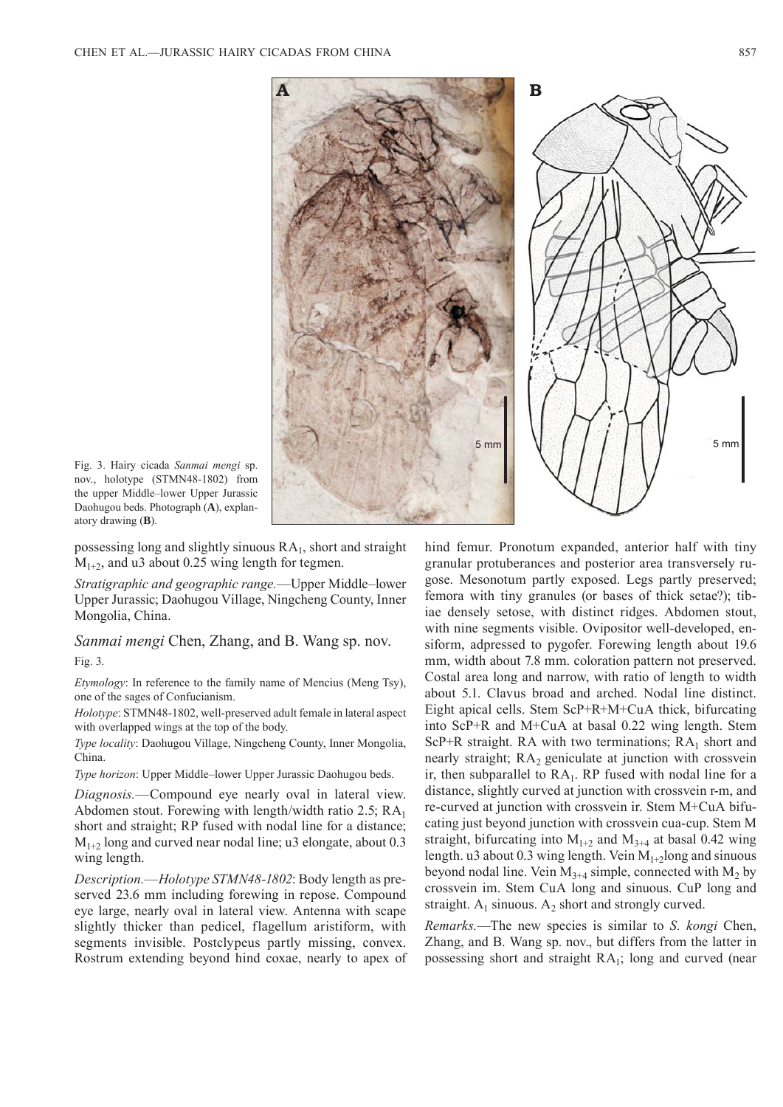

Fig. 3. Hairy cicada *Sanmai mengi* sp. nov., holotype (STMN48-1802) from the upper Middle–lower Upper Jurassic Daohugou beds. Photograph (**A**), explanatory drawing (**B**).

possessing long and slightly sinuous  $RA<sub>1</sub>$ , short and straight  $M<sub>1+2</sub>$ , and u3 about 0.25 wing length for tegmen.

*Stratigraphic and geographic range.*—Upper Middle–lower Upper Jurassic; Daohugou Village, Ningcheng County, Inner Mongolia, China.

*Sanmai mengi* Chen, Zhang, and B. Wang sp. nov. Fig. 3.

*Etymology*: In reference to the family name of Mencius (Meng Tsy), one of the sages of Confucianism.

*Holotype*: STMN48-1802, well-preserved adult female in lateral aspect with overlapped wings at the top of the body.

*Type locality*: Daohugou Village, Ningcheng County, Inner Mongolia, China.

*Type horizon*: Upper Middle–lower Upper Jurassic Daohugou beds.

*Diagnosis.*—Compound eye nearly oval in lateral view. Abdomen stout. Forewing with length/width ratio 2.5;  $RA<sub>1</sub>$ short and straight; RP fused with nodal line for a distance;  $M<sub>1+2</sub>$  long and curved near nodal line; u3 elongate, about 0.3 wing length.

*Description.*—*Holotype STMN48-1802*: Body length as preserved 23.6 mm including forewing in repose. Compound eye large, nearly oval in lateral view. Antenna with scape slightly thicker than pedicel, flagellum aristiform, with segments invisible. Postclypeus partly missing, convex. Rostrum extending beyond hind coxae, nearly to apex of hind femur. Pronotum expanded, anterior half with tiny granular protuberances and posterior area transversely rugose. Mesonotum partly exposed. Legs partly preserved; femora with tiny granules (or bases of thick setae?); tibiae densely setose, with distinct ridges. Abdomen stout, with nine segments visible. Ovipositor well-developed, ensiform, adpressed to pygofer. Forewing length about 19.6 mm, width about 7.8 mm. coloration pattern not preserved. Costal area long and narrow, with ratio of length to width about 5.1. Clavus broad and arched. Nodal line distinct. Eight apical cells. Stem ScP+R+M+CuA thick, bifurcating into ScP+R and M+CuA at basal 0.22 wing length. Stem ScP+R straight. RA with two terminations;  $RA_1$  short and nearly straight;  $RA<sub>2</sub>$  geniculate at junction with crossvein ir, then subparallel to  $RA<sub>1</sub>$ . RP fused with nodal line for a distance, slightly curved at junction with crossvein r-m, and re-curved at junction with crossvein ir. Stem M+CuA bifucating just beyond junction with crossvein cua-cup. Stem M straight, bifurcating into  $M_{1+2}$  and  $M_{3+4}$  at basal 0.42 wing length. u3 about 0.3 wing length. Vein  $M_{1+2}$ long and sinuous beyond nodal line. Vein  $M_{3+4}$  simple, connected with  $M_2$  by crossvein im. Stem CuA long and sinuous. CuP long and straight.  $A_1$  sinuous.  $A_2$  short and strongly curved.

*Remarks.*—The new species is similar to *S. kongi* Chen, Zhang, and B. Wang sp. nov., but differs from the latter in possessing short and straight RA1; long and curved (near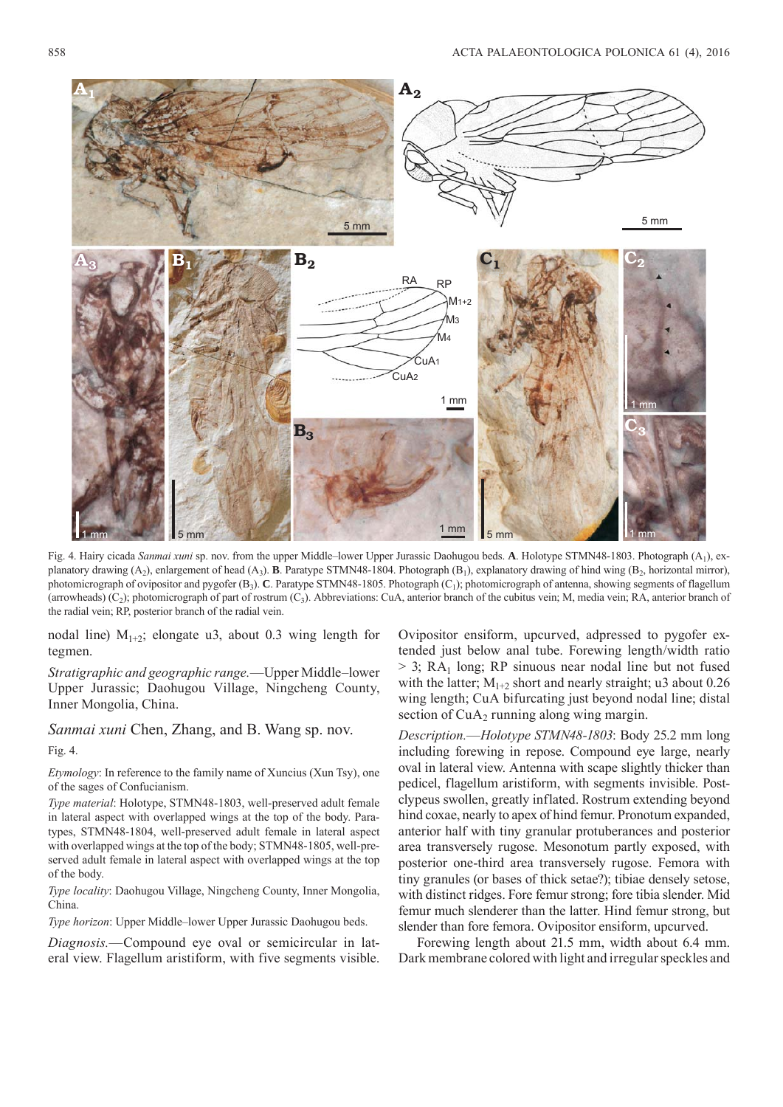

Fig. 4. Hairy cicada *Sanmai xuni* sp. nov. from the upper Middle–lower Upper Jurassic Daohugou beds. **A**. Holotype STMN48-1803. Photograph (A<sub>1</sub>), explanatory drawing  $(A_2)$ , enlargement of head  $(A_3)$ . **B**. Paratype STMN48-1804. Photograph  $(B_1)$ , explanatory drawing of hind wing  $(B_2)$ , horizontal mirror), photomicrograph of ovipositor and pygofer (B<sub>3</sub>). **C**. Paratype STMN48-1805. Photograph (C<sub>1</sub>); photomicrograph of antenna, showing segments of flagellum (arrowheads)  $(C_2)$ ; photomicrograph of part of rostrum  $(C_3)$ . Abbreviations: CuA, anterior branch of the cubitus vein; M, media vein; RA, anterior branch of the radial vein; RP, posterior branch of the radial vein.

nodal line)  $M_{1+2}$ ; elongate u3, about 0.3 wing length for tegmen.

*Stratigraphic and geographic range.*—Upper Middle–lower Upper Jurassic; Daohugou Village, Ningcheng County, Inner Mongolia, China.

*Sanmai xuni* Chen, Zhang, and B. Wang sp. nov.

Fig. 4.

*Etymology*: In reference to the family name of Xuncius (Xun Tsy), one of the sages of Confucianism.

*Type material*: Holotype, STMN48-1803, well-preserved adult female in lateral aspect with overlapped wings at the top of the body. Paratypes, STMN48-1804, well-preserved adult female in lateral aspect with overlapped wings at the top of the body; STMN48-1805, well-preserved adult female in lateral aspect with overlapped wings at the top of the body.

*Type locality*: Daohugou Village, Ningcheng County, Inner Mongolia, China.

*Type horizon*: Upper Middle–lower Upper Jurassic Daohugou beds.

*Diagnosis.*—Compound eye oval or semicircular in lateral view. Flagellum aristiform, with five segments visible. Ovipositor ensiform, upcurved, adpressed to pygofer extended just below anal tube. Forewing length/width ratio  $> 3$ ; RA<sub>1</sub> long; RP sinuous near nodal line but not fused with the latter;  $M_{1+2}$  short and nearly straight; u3 about 0.26 wing length; CuA bifurcating just beyond nodal line; distal section of  $CuA<sub>2</sub>$  running along wing margin.

*Description.*—*Holotype STMN48-1803*: Body 25.2 mm long including forewing in repose. Compound eye large, nearly oval in lateral view. Antenna with scape slightly thicker than pedicel, flagellum aristiform, with segments invisible. Postclypeus swollen, greatly inflated. Rostrum extending beyond hind coxae, nearly to apex of hind femur. Pronotum expanded, anterior half with tiny granular protuberances and posterior area transversely rugose. Mesonotum partly exposed, with posterior one-third area transversely rugose. Femora with tiny granules (or bases of thick setae?); tibiae densely setose, with distinct ridges. Fore femur strong; fore tibia slender. Mid femur much slenderer than the latter. Hind femur strong, but slender than fore femora. Ovipositor ensiform, upcurved.

Forewing length about 21.5 mm, width about 6.4 mm. Dark membrane colored with light and irregular speckles and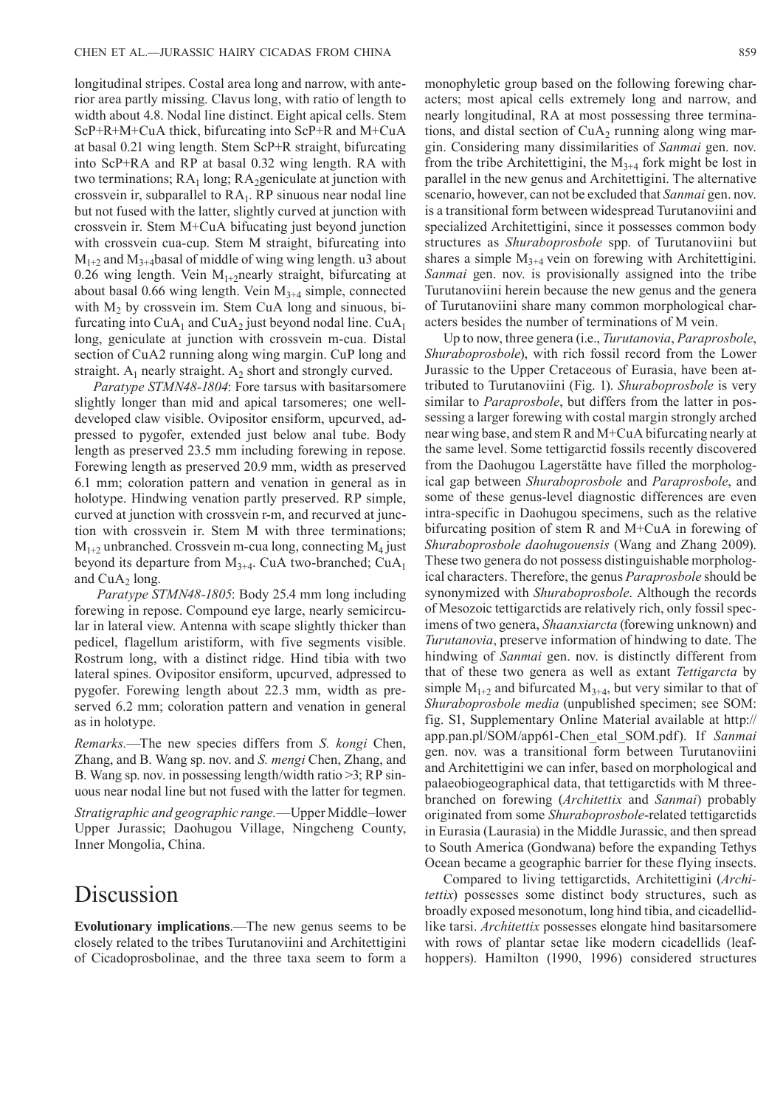longitudinal stripes. Costal area long and narrow, with anterior area partly missing. Clavus long, with ratio of length to width about 4.8. Nodal line distinct. Eight apical cells. Stem ScP+R+M+CuA thick, bifurcating into ScP+R and M+CuA at basal 0.21 wing length. Stem ScP+R straight, bifurcating into ScP+RA and RP at basal 0.32 wing length. RA with two terminations;  $RA<sub>1</sub>$  long;  $RA<sub>2</sub>$ geniculate at junction with crossvein ir, subparallel to  $RA<sub>1</sub>$ . RP sinuous near nodal line but not fused with the latter, slightly curved at junction with crossvein ir. Stem M+CuA bifucating just beyond junction with crossvein cua-cup. Stem M straight, bifurcating into  $M_{1+2}$  and  $M_{3+4}$ basal of middle of wing wing length. u3 about 0.26 wing length. Vein  $M_{1+2}$ nearly straight, bifurcating at about basal 0.66 wing length. Vein  $M<sub>3+4</sub>$  simple, connected with  $M_2$  by crossvein im. Stem CuA long and sinuous, bifurcating into  $CuA_1$  and  $CuA_2$  just beyond nodal line.  $CuA_1$ long, geniculate at junction with crossvein m-cua. Distal section of CuA2 running along wing margin. CuP long and straight. A<sub>1</sub> nearly straight. A<sub>2</sub> short and strongly curved.

*Paratype STMN48-1804*: Fore tarsus with basitarsomere slightly longer than mid and apical tarsomeres; one welldeveloped claw visible. Ovipositor ensiform, upcurved, adpressed to pygofer, extended just below anal tube. Body length as preserved 23.5 mm including forewing in repose. Forewing length as preserved 20.9 mm, width as preserved 6.1 mm; coloration pattern and venation in general as in holotype. Hindwing venation partly preserved. RP simple, curved at junction with crossvein r-m, and recurved at junction with crossvein ir. Stem M with three terminations;  $M_{1+2}$  unbranched. Crossvein m-cua long, connecting  $M_4$  just beyond its departure from  $M_{3+4}$ . CuA two-branched; CuA<sub>1</sub> and  $CuA<sub>2</sub>$  long.

*Paratype STMN48-1805*: Body 25.4 mm long including forewing in repose. Compound eye large, nearly semicircular in lateral view. Antenna with scape slightly thicker than pedicel, flagellum aristiform, with five segments visible. Rostrum long, with a distinct ridge. Hind tibia with two lateral spines. Ovipositor ensiform, upcurved, adpressed to pygofer. Forewing length about 22.3 mm, width as preserved 6.2 mm; coloration pattern and venation in general as in holotype.

*Remarks.*—The new species differs from *S. kongi* Chen, Zhang, and B. Wang sp. nov. and *S. mengi* Chen, Zhang, and B. Wang sp. nov. in possessing length/width ratio >3; RP sinuous near nodal line but not fused with the latter for tegmen.

*Stratigraphic and geographic range.*—Upper Middle–lower Upper Jurassic; Daohugou Village, Ningcheng County, Inner Mongolia, China.

# Discussion

**Evolutionary implications**.—The new genus seems to be closely related to the tribes Turutanoviini and Architettigini of Cicadoprosbolinae, and the three taxa seem to form a monophyletic group based on the following forewing characters; most apical cells extremely long and narrow, and nearly longitudinal, RA at most possessing three terminations, and distal section of  $CuA<sub>2</sub>$  running along wing margin. Considering many dissimilarities of *Sanmai* gen. nov. from the tribe Architettigini, the  $M<sub>3+4</sub>$  fork might be lost in parallel in the new genus and Architettigini. The alternative scenario, however, can not be excluded that *Sanmai* gen. nov. is a transitional form between widespread Turutanoviini and specialized Architettigini, since it possesses common body structures as *Shuraboprosbole* spp. of Turutanoviini but shares a simple  $M_{3+4}$  vein on forewing with Architettigini. *Sanmai* gen. nov. is provisionally assigned into the tribe Turutanoviini herein because the new genus and the genera of Turutanoviini share many common morphological characters besides the number of terminations of M vein.

Up to now, three genera (i.e., *Turutanovia*, *Paraprosbole*, *Shuraboprosbole*), with rich fossil record from the Lower Jurassic to the Upper Cretaceous of Eurasia, have been attributed to Turutanoviini (Fig. 1). *Shuraboprosbole* is very similar to *Paraprosbole*, but differs from the latter in possessing a larger forewing with costal margin strongly arched near wing base, and stem R and M+CuA bifurcating nearly at the same level. Some tettigarctid fossils recently discovered from the Daohugou Lagerstätte have filled the morphological gap between *Shuraboprosbole* and *Paraprosbole*, and some of these genus-level diagnostic differences are even intra-specific in Daohugou specimens, such as the relative bifurcating position of stem R and M+CuA in forewing of *Shuraboprosbole daohugouensis* (Wang and Zhang 2009). These two genera do not possess distinguishable morphological characters. Therefore, the genus *Paraprosbole* should be synonymized with *Shuraboprosbole*. Although the records of Mesozoic tettigarctids are relatively rich, only fossil specimens of two genera, *Shaanxiarcta* (forewing unknown) and *Turutanovia*, preserve information of hindwing to date. The hindwing of *Sanmai* gen. nov. is distinctly different from that of these two genera as well as extant *Tettigarcta* by simple  $M_{1+2}$  and bifurcated  $M_{3+4}$ , but very similar to that of *Shuraboprosbole media* (unpublished specimen; see SOM: fig. S1, Supplementary Online Material available at http:// app.pan.pl/SOM/app61-Chen\_etal\_SOM.pdf). If *Sanmai* gen. nov. was a transitional form between Turutanoviini and Architettigini we can infer, based on morphological and palaeobiogeographical data, that tettigarctids with M threebranched on forewing (*Architettix* and *Sanmai*) probably originated from some *Shuraboprosbole*-related tettigarctids in Eurasia (Laurasia) in the Middle Jurassic, and then spread to South America (Gondwana) before the expanding Tethys Ocean became a geographic barrier for these flying insects.

Compared to living tettigarctids, Architettigini (*Architettix*) possesses some distinct body structures, such as broadly exposed mesonotum, long hind tibia, and cicadellidlike tarsi. *Architettix* possesses elongate hind basitarsomere with rows of plantar setae like modern cicadellids (leafhoppers). Hamilton (1990, 1996) considered structures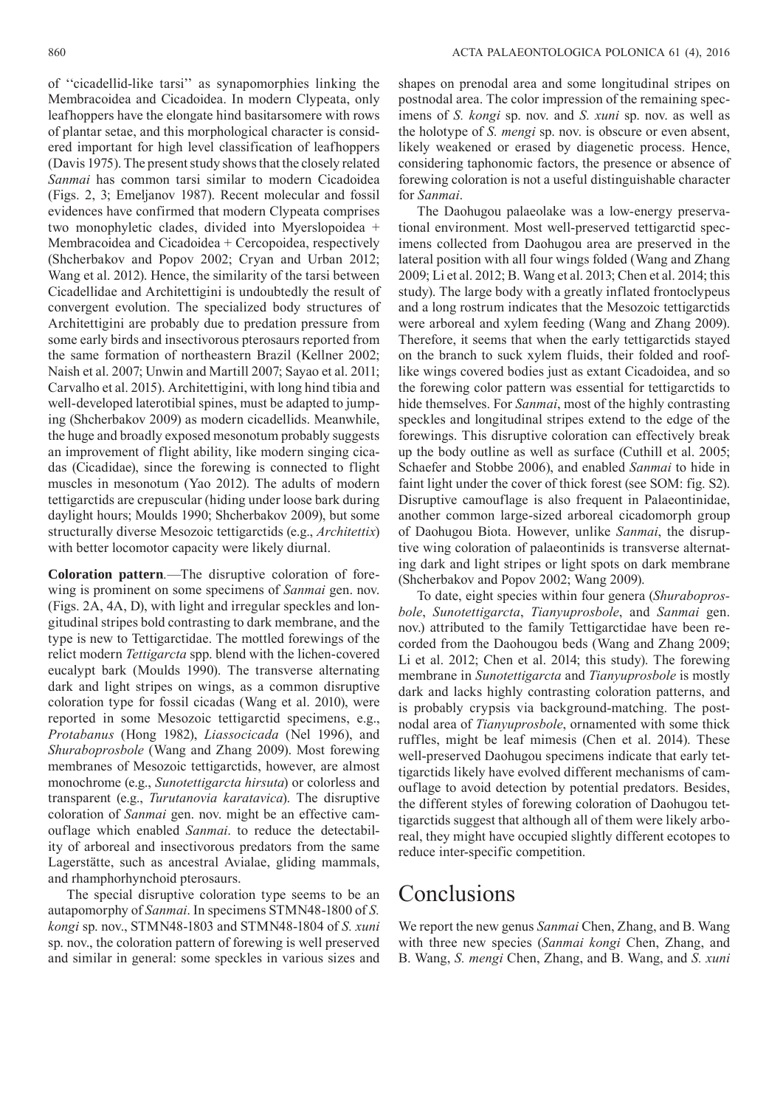of ''cicadellid- like tarsi'' as synapomorphies linking the Membracoidea and Cicadoidea. In modern Clypeata, only leafhoppers have the elongate hind basitarsomere with rows of plantar setae, and this morphological character is considered important for high level classification of leafhoppers (Davis 1975). The present study shows that the closely related *Sanmai* has common tarsi similar to modern Cicadoidea (Figs. 2, 3; Emeljanov 1987). Recent molecular and fossil evidences have confirmed that modern Clypeata comprises two monophyletic clades, divided into Myerslopoidea + Membracoidea and Cicadoidea + Cercopoidea, respectively (Shcherbakov and Popov 2002; Cryan and Urban 2012; Wang et al. 2012). Hence, the similarity of the tarsi between Cicadellidae and Architettigini is undoubtedly the result of convergent evolution. The specialized body structures of Architettigini are probably due to predation pressure from some early birds and insectivorous pterosaurs reported from the same formation of northeastern Brazil (Kellner 2002; Naish et al. 2007; Unwin and Martill 2007; Sayao et al. 2011; Carvalho et al. 2015). Architettigini, with long hind tibia and well-developed laterotibial spines, must be adapted to jumping (Shcherbakov 2009) as modern cicadellids. Meanwhile, the huge and broadly exposed mesonotum probably suggests an improvement of flight ability, like modern singing cicadas (Cicadidae), since the forewing is connected to flight muscles in mesonotum (Yao 2012). The adults of modern tettigarctids are crepuscular (hiding under loose bark during daylight hours; Moulds 1990; Shcherbakov 2009), but some structurally diverse Mesozoic tettigarctids (e.g., *Architettix*) with better locomotor capacity were likely diurnal.

**Coloration pattern***.*—The disruptive coloration of forewing is prominent on some specimens of *Sanmai* gen. nov. (Figs. 2A, 4A, D), with light and irregular speckles and longitudinal stripes bold contrasting to dark membrane, and the type is new to Tettigarctidae. The mottled forewings of the relict modern *Tettigarcta* spp. blend with the lichen-covered eucalypt bark (Moulds 1990). The transverse alternating dark and light stripes on wings, as a common disruptive coloration type for fossil cicadas (Wang et al. 2010), were reported in some Mesozoic tettigarctid specimens, e.g., *Protabanus* (Hong 1982), *Liassocicada* (Nel 1996), and *Shuraboprosbole* (Wang and Zhang 2009). Most forewing membranes of Mesozoic tettigarctids, however, are almost monochrome (e.g., *Sunotettigarcta hirsuta*) or colorless and transparent (e.g., *Turutanovia karatavica*). The disruptive coloration of *Sanmai* gen. nov. might be an effective camouflage which enabled *Sanmai*. to reduce the detectability of arboreal and insectivorous predators from the same Lagerstätte, such as ancestral Avialae, gliding mammals, and rhamphorhynchoid pterosaurs.

The special disruptive coloration type seems to be an autapomorphy of *Sanmai*. In specimens STMN48-1800 of *S. kongi* sp. nov., STMN48-1803 and STMN48-1804 of *S. xuni*  sp. nov., the coloration pattern of forewing is well preserved and similar in general: some speckles in various sizes and

shapes on prenodal area and some longitudinal stripes on postnodal area. The color impression of the remaining specimens of *S. kongi* sp. nov. and *S. xuni* sp. nov. as well as the holotype of *S. mengi* sp. nov. is obscure or even absent, likely weakened or erased by diagenetic process. Hence, considering taphonomic factors, the presence or absence of forewing coloration is not a useful distinguishable character for *Sanmai*.

The Daohugou palaeolake was a low-energy preservational environment. Most well-preserved tettigarctid specimens collected from Daohugou area are preserved in the lateral position with all four wings folded (Wang and Zhang 2009; Li et al. 2012; B. Wang et al. 2013; Chen et al. 2014; this study). The large body with a greatly inflated frontoclypeus and a long rostrum indicates that the Mesozoic tettigarctids were arboreal and xylem feeding (Wang and Zhang 2009). Therefore, it seems that when the early tettigarctids stayed on the branch to suck xylem fluids, their folded and rooflike wings covered bodies just as extant Cicadoidea, and so the forewing color pattern was essential for tettigarctids to hide themselves. For *Sanmai*, most of the highly contrasting speckles and longitudinal stripes extend to the edge of the forewings. This disruptive coloration can effectively break up the body outline as well as surface (Cuthill et al. 2005; Schaefer and Stobbe 2006), and enabled *Sanmai* to hide in faint light under the cover of thick forest (see [SOM: fig. S2\)](http://app.pan.pl/SOM/app61-Chen_etal_SOM.pdf). Disruptive camouflage is also frequent in Palaeontinidae, another common large-sized arboreal cicadomorph group of Daohugou Biota. However, unlike *Sanmai*, the disruptive wing coloration of palaeontinids is transverse alternating dark and light stripes or light spots on dark membrane (Shcherbakov and Popov 2002; Wang 2009).

To date, eight species within four genera (*Shuraboprosbole*, *Sunotettigarcta*, *Tianyuprosbole*, and *Sanmai* gen. nov.) attributed to the family Tettigarctidae have been recorded from the Daohougou beds (Wang and Zhang 2009; Li et al. 2012; Chen et al. 2014; this study). The forewing membrane in *Sunotettigarcta* and *Tianyuprosbole* is mostly dark and lacks highly contrasting coloration patterns, and is probably crypsis via background-matching. The postnodal area of *Tianyuprosbole*, ornamented with some thick ruffles, might be leaf mimesis (Chen et al. 2014). These well-preserved Daohugou specimens indicate that early tettigarctids likely have evolved different mechanisms of camouflage to avoid detection by potential predators. Besides, the different styles of forewing coloration of Daohugou tettigarctids suggest that although all of them were likely arboreal, they might have occupied slightly different ecotopes to reduce inter-specific competition.

## **Conclusions**

We report the new genus *Sanmai* Chen, Zhang, and B. Wang with three new species (*Sanmai kongi* Chen, Zhang, and B. Wang, *S. mengi* Chen, Zhang, and B. Wang, and *S. xuni*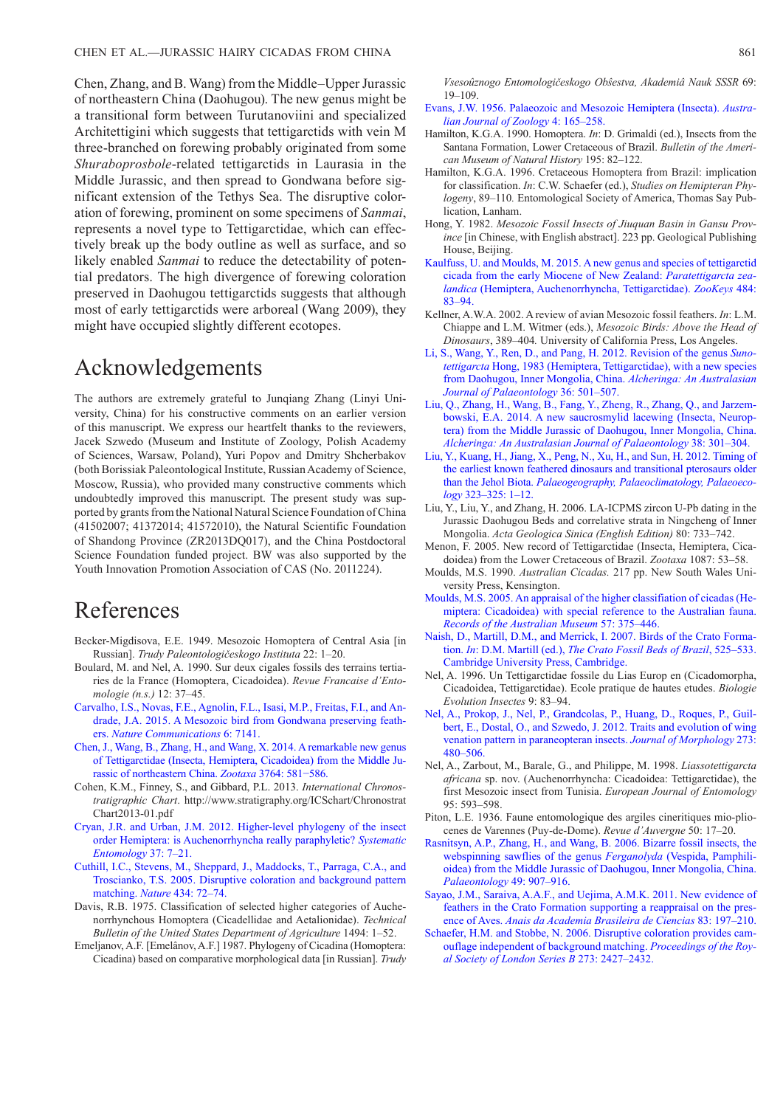Chen, Zhang, and B. Wang) from the Middle–Upper Jurassic of northeastern China (Daohugou). The new genus might be a transitional form between Turutanoviini and specialized Architettigini which suggests that tettigarctids with vein M three-branched on forewing probably originated from some *Shuraboprosbole*-related tettigarctids in Laurasia in the Middle Jurassic, and then spread to Gondwana before significant extension of the Tethys Sea. The disruptive coloration of forewing, prominent on some specimens of *Sanmai*, represents a novel type to Tettigarctidae, which can effectively break up the body outline as well as surface, and so likely enabled *Sanmai* to reduce the detectability of potential predators. The high divergence of forewing coloration preserved in Daohugou tettigarctids suggests that although most of early tettigarctids were arboreal (Wang 2009), they might have occupied slightly different ecotopes.

## Acknowledgements

The authors are extremely grateful to Junqiang Zhang (Linyi University, China) for his constructive comments on an earlier version of this manuscript. We express our heartfelt thanks to the reviewers, Jacek Szwedo (Museum and Institute of Zoology, Polish Academy of Sciences, Warsaw, Poland), Yuri Popov and Dmitry Shcherbakov (both Borissiak Paleontological Institute, Russian Academy of Science, Moscow, Russia), who provided many constructive comments which undoubtedly improved this manuscript. The present study was supported by grants from the National Natural Science Foundation of China (41502007; 41372014; 41572010), the Natural Scientific Foundation of Shandong Province (ZR2013DQ017), and the China Postdoctoral Science Foundation funded project. BW was also supported by the Youth Innovation Promotion Association of CAS (No. 2011224).

#### References

- Becker-Migdisova, E.E. 1949. Mesozoic Homoptera of Central Asia [in Russian]. *Trudy Paleontologičeskogo Instituta* 22: 1–20.
- Boulard, M. and Nel, A. 1990. Sur deux cigales fossils des terrains tertiaries de la France (Homoptera, Cicadoidea). *Revue Francaise d'Entomologie (n.s.)* 12: 37–45.
- [Carvalho, I.S., Novas, F.E., Agnolin, F.L., Isasi, M.P., Freitas, F.I., and An](http://dx.doi.org/10.1038/ncomms8141)drade, J.A. 2015. A Mesozoic bird from Gondwana preserving feathers. *Nature Communications* 6: 7141.
- [Chen, J., Wang, B., Zhang, H., and Wang, X. 2014. A remarkable new genus](http://dx.doi.org/10.11646/zootaxa.3764.5.6)  of Tettigarctidae (Insecta, Hemiptera, Cicadoidea) from the Middle Jurassic of northeastern China. *Zootaxa* 3764: 581−586.
- Cohen, K.M., Finney, S., and Gibbard, P.L. 2013. *International Chronostratigraphic Chart*[. http://www.stratigraphy.org/ICSchart/Chronostrat](http://www.stratigraphy.org/ICSchart/ChronostratChart2013-01.pdf)  Chart2013-01.pdf
- [Cryan, J.R. and Urban, J.M. 2012. Higher-level phylogeny of the insect](http://dx.doi.org/10.1111/j.1365-3113.2011.00611.x)  order Hemiptera: is Auchenorrhyncha really paraphyletic? *Systematic Entomology* 37: 7–21.
- [Cuthill, I.C., Stevens, M., Sheppard, J., Maddocks, T., Parraga, C.A., and](http://dx.doi.org/10.1038/nature03312)  Troscianko, T.S. 2005. Disruptive coloration and background pattern matching. *Nature* 434: 72–74.
- Davis, R.B. 1975. Classification of selected higher categories of Auchenorrhynchous Homoptera (Cicadellidae and Aetalionidae). *Technical Bulletin of the United States Department of Agriculture* 1494: 1–52.
- Emeljanov, A.F. [Emelânov, A.F.] 1987. Phylogeny of Cicadina (Homoptera: Cicadina) based on comparative morphological data [in Russian]. *Trudy*

*Vsesoûznogo Entomologičeskogo Obŝestva, Akademiâ Nauk SSSR* 69: 19–109.

- [Evans, J.W. 1956. Palaeozoic and Mesozoic Hemiptera \(Insecta\).](http://dx.doi.org/10.1071/ZO9560165) *Australian Journal of Zoology* 4: 165–258.
- Hamilton, K.G.A. 1990. Homoptera. *In*: D. Grimaldi (ed.), Insects from the Santana Formation, Lower Cretaceous of Brazil. *Bulletin of the American Museum of Natural History* 195: 82–122.
- Hamilton, K.G.A. 1996. Cretaceous Homoptera from Brazil: implication for classification. *In*: C.W. Schaefer (ed.), *Studies on Hemipteran Phylogeny*, 89–110*.* Entomological Society of America, Thomas Say Publication, Lanham.
- Hong, Y. 1982. *Mesozoic Fossil Insects of Jiuquan Basin in Gansu Province* [in Chinese, with English abstract]. 223 pp. Geological Publishing House, Beijing.
- [Kaulfuss, U. and Moulds, M. 2015. A new genus and species of tettigarctid](http://dx.doi.org/10.3897/zookeys.484.8883) cicada from the early Miocene of New Zealand: *Paratettigarcta zealandica* (Hemiptera, Auchenorrhyncha, Tettigarctidae). *ZooKeys* 484: 83–94.
- Kellner, A.W.A. 2002. A review of avian Mesozoic fossil feathers. *In*: L.M. Chiappe and L.M. Witmer (eds.), *Mesozoic Birds: Above the Head of Dinosaurs*, 389–404*.* University of California Press, Los Angeles.
- [Li, S., Wang, Y., Ren, D., and Pang, H. 2012. Revision of the genus](http://dx.doi.org/10.1080/03115518.2012.680722) *Sunotettigarcta* Hong, 1983 (Hemiptera, Tettigarctidae), with a new species from Daohugou, Inner Mongolia, China. *Alcheringa: An Australasian Journal of Palaeontology* 36: 501–507.
- [Liu, Q., Zhang, H., Wang, B., Fang, Y., Zheng, R., Zhang, Q., and Jarzem](http://dx.doi.org/10.1080/03115518.2014.886849)bowski, E.A. 2014. A new saucrosmylid lacewing (Insecta, Neuroptera) from the Middle Jurassic of Daohugou, Inner Mongolia, China. *Alcheringa: An Australasian Journal of Palaeontology* 38: 301–304.
- [Liu, Y., Kuang, H., Jiang, X., Peng, N., Xu, H., and Sun, H. 2012. Timing of](http://dx.doi.org/10.1016/j.palaeo.2012.01.017) the earliest known feathered dinosaurs and transitional pterosaurs older than the Jehol Biota. *Palaeogeography, Palaeoclimatology, Palaeoecology* 323–325: 1–12.
- Liu, Y., Liu, Y., and Zhang, H. 2006. LA-ICPMS zircon U-Pb dating in the Jurassic Daohugou Beds and correlative strata in Ningcheng of Inner Mongolia. *Acta Geologica Sinica (English Edition)* 80: 733–742.
- Menon, F. 2005. New record of Tettigarctidae (Insecta, Hemiptera, Cicadoidea) from the Lower Cretaceous of Brazil. *Zootaxa* 1087: 53–58.
- Moulds, M.S. 1990. *Australian Cicadas.* 217 pp. New South Wales University Press, Kensington.
- [Moulds, M.S. 2005. An appraisal of the higher classifiation of cicadas \(He](http://dx.doi.org/10.3853/j.0067-1975.57.2005.1447)miptera: Cicadoidea) with special reference to the Australian fauna. *Records of the Australian Museum* 57: 375–446.
- [Naish, D., Martill, D.M., and Merrick, I. 2007. Birds of the Crato Forma](http://dx.doi.org/10.1017/cbo9780511535512.019)tion. *In*: D.M. Martill (ed.), *The Crato Fossil Beds of Brazil*, 525–533. Cambridge University Press, Cambridge.
- Nel, A. 1996. Un Tettigarctidae fossile du Lias Europ en (Cicadomorpha, Cicadoidea, Tettigarctidae). Ecole pratique de hautes etudes. *Biologie Evolution Insectes* 9: 83–94.
- [Nel, A., Prokop, J., Nel, P., Grandcolas, P., Huang, D., Roques, P., Guil](http://dx.doi.org/10.1002/jmor.11036)bert, E., Dostal, O., and Szwedo, J. 2012. Traits and evolution of wing venation pattern in paraneopteran insects. *Journal of Morphology* 273: 480–506.
- Nel, A., Zarbout, M., Barale, G., and Philippe, M. 1998. *Liassotettigarcta africana* sp. nov. (Auchenorrhyncha: Cicadoidea: Tettigarctidae), the first Mesozoic insect from Tunisia. *European Journal of Entomology*  95: 593–598.
- Piton, L.E. 1936. Faune entomologique des argiles cineritiques mio-pliocenes de Varennes (Puy-de-Dome). *Revue d'Auvergne* 50: 17–20.
- [Rasnitsyn, A.P., Zhang, H., and Wang, B. 2006. Bizarre fossil insects, the](http://dx.doi.org/10.1111/j.1475-4983.2006.00574.x) webspinning sawflies of the genus *Ferganolyda* (Vespida, Pamphilioidea) from the Middle Jurassic of Daohugou, Inner Mongolia, China. *Palaeontology* 49: 907–916.
- [Sayao, J.M., Saraiva, A.A.F., and Uejima, A.M.K. 2011. New evidence of](http://dx.doi.org/10.1590/S0001-37652011000100010) feathers in the Crato Formation supporting a reappraisal on the presence of Aves. *Anais da Academia Brasileira de Ciencias* 83: 197–210.
- [Schaefer, H.M. and Stobbe, N. 2006. Disruptive coloration provides cam](http://dx.doi.org/10.1098/rspb.2006.3615)ouflage independent of background matching. *Proceedings of the Royal Society of London Series B* 273: 2427–2432.